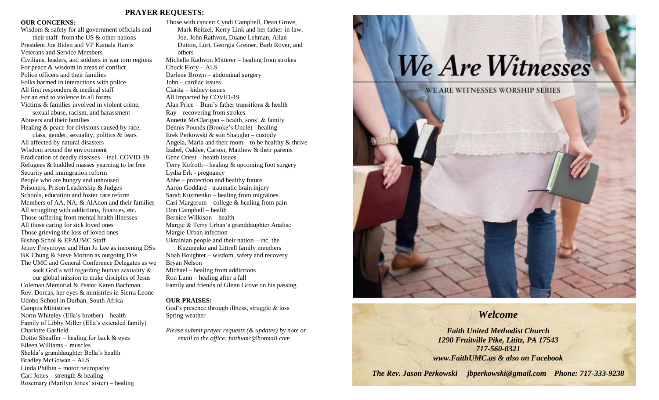## **PRAYER REQUESTS:**

### **OUR CONCERNS:**

Wisdom & safety for all government officials and their staff- from the US & other nations President Joe Biden and VP Kamala Harris Veterans and Service Members Civilians, leaders, and soldiers in war torn regions For peace & wisdom in areas of conflict Police officers and their families Folks harmed in interactions with police All first responders & medical staff For an end to violence in all forms Victims & families involved in violent crime, sexual abuse, racism, and harassment Abusers and their families Healing & peace for divisions caused by race, class, gender, sexuality, politics & fears All affected by natural disasters Wisdom around the environment Eradication of deadly diseases—incl. COVID-19 Refugees & huddled masses yearning to be free Security and immigration reform People who are hungry and unhoused Prisoners, Prison Leadership & Judges Schools, education and foster care reform Members of AA, NA, & AlAnon and their families All struggling with addictions, finances, etc. Those suffering from mental health illnesses All those caring for sick loved ones Those grieving the loss of loved ones Bishop Schol & EPAUMC Staff Jenny Freymoyer and Hun Ju Lee as incoming DSs BK Chung & Steve Morton as outgoing DSs The UMC and General Conference Delegates as we seek God's will regarding human sexuality & our global mission to make disciples of Jesus Coleman Memorial & Pastor Karen Bachman Rev. Dorcas, her eyes & ministries in Sierra Leone Udobo School in Durban, South Africa Campus Ministries Norm Whiteley (Ella's brother) – health Family of Libby Miller (Ella's extended family) Charlotte Garfield Dottie Sheaffer – healing for back & eyes Eileen Williams – muscles Shelda's granddaughter Bella's health Bradley McGowan – ALS Linda Philbin – motor neuropathy Carl Jones – strength  $&$  healing

Rosemary (Marilyn Jones' sister) – healing

Those with cancer: Cyndi Campbell, Dean Grove, Mark Reitzel, Kerry Link and her father-in-law, Joe, John Rathvon, Duane Lehman, Allan Dutton, Lori, Georgia Greiner, Barb Royer, and others Michelle Rathvon Mitterer – healing from strokes Chuck Flory – ALS Darlene Brown – abdominal surgery John – cardiac issues Clarita – kidney issues All Impacted by COVID-19 Alan Price – Buni's father transitions & health Ray – recovering from strokes Annette McClarigan – health, sons' & family Dennis Pounds (Brooke's Uncle) - healing Erek Perkowski & son Shaughn – custody Angela, Maria and their mom – to be healthy  $&$  thrive Izabel, Oaklee, Carson, Matthew & their parents Gene Onest – health issues Terry Kofroth – healing  $\&$  upcoming foot surgery Lydia Erk - pregnancy Abbe – protection and healthy future Aaron Goddard - traumatic brain injury Sarah Kuzmenko – healing from migraines Casi Margerum – college  $\&$  healing from pain Don Campbell – health Bernice Wilkison – health Margie & Terry Urban's granddaughter Analise Margie Urban infection Ukrainian people and their nation—inc. the Kuzmenko and Littrell family members Noah Boughter – wisdom, safety and recovery Bryan Nelson Michael – healing from addictions Ron Lunn – healing after a fall Family and friends of Glenn Grove on his passing

### **OUR PRAISES:**

God's presence through illness, struggle & loss Spring weather

*Please submit prayer requests (& updates) by note or email to the office: faithumc@hotmail.com*



# *Welcome*

*Faith United Methodist Church 1290 Fruitville Pike, Lititz, PA 17543 717-560-0321 www.FaithUMC.us & also on Facebook*

*The Rev. Jason Perkowski jbperkowski@gmail.com Phone: 717-333-9238*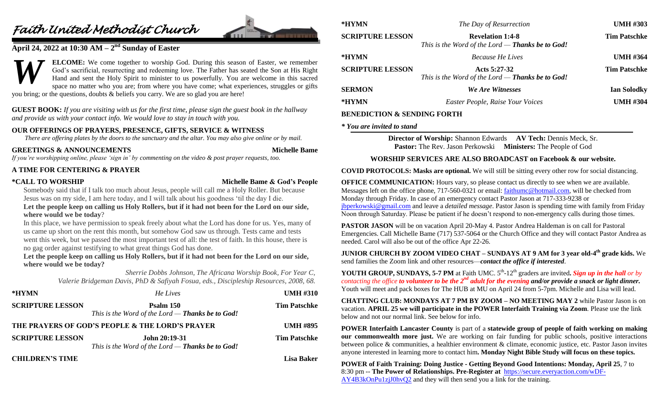# *Faith United Methodist Church*



# **April 24, 2022 at 10:30 AM – 2 nd Sunday of Easter**

**ELCOME:** We come together to worship God. During this season of Easter, we remember God's sacrificial, resurrecting and redeeming love. The Father has seated the Son at His Right Hand and sent the Holy Spirit to minister to us powerfully. You are welcome in this sacred space no matter who you are; from where you have come; what experiences, struggles or gifts you bring; or the questions, doubts & beliefs you carry. We are so glad you are here! *W*

**GUEST BOOK:** *If you are visiting with us for the first time, please sign the guest book in the hallway and provide us with your contact info. We would love to stay in touch with you.*

## **OUR OFFERINGS OF PRAYERS, PRESENCE, GIFTS, SERVICE & WITNESS**

*There are offering plates by the doors to the sanctuary and the altar. You may also give online or by mail.*

# **GREETINGS & ANNOUNCEMENTS Michelle Bame**

*If you're worshipping online, please 'sign in' by commenting on the video & post prayer requests, too.*

## **A TIME FOR CENTERING & PRAYER**

### **\*CALL TO WORSHIP Michelle Bame & God's People**

Somebody said that if I talk too much about Jesus, people will call me a Holy Roller. But because Jesus was on my side, I am here today, and I will talk about his goodness 'til the day I die.

**Let the people keep on calling us Holy Rollers, but if it had not been for the Lord on our side, where would we be today**?

In this place, we have permission to speak freely about what the Lord has done for us. Yes, many of us came up short on the rent this month, but somehow God saw us through. Tests came and tests went this week, but we passed the most important test of all: the test of faith. In this house, there is no gag order against testifying to what great things God has done.

**Let the people keep on calling us Holy Rollers, but if it had not been for the Lord on our side, where would we be today?**

> *Sherrie Dobbs Johnson, The Africana Worship Book, For Year C, Valerie Bridgeman Davis, PhD & Safiyah Fosua, eds., Discipleship Resources, 2008, 68.*

| *HYMN                                           | He Lives                                                             | <b>UMH #310</b>     |
|-------------------------------------------------|----------------------------------------------------------------------|---------------------|
| <b>SCRIPTURE LESSON</b>                         | Psalm 150<br>This is the Word of the Lord — <b>Thanks be to God!</b> | <b>Tim Patschke</b> |
| THE PRAYERS OF GOD'S PEOPLE & THE LORD'S PRAYER |                                                                      | <b>UMH #895</b>     |
| <b>SCRIPTURE LESSON</b>                         | John 20:19-31<br>This is the Word of the Lord $-$ Thanks be to God!  | <b>Tim Patschke</b> |
| <b>CHILDREN'S TIME</b>                          |                                                                      | <b>Lisa Baker</b>   |

| *HYMN                   | The Day of Resurrection                                                       | <b>UMH #303</b>     |
|-------------------------|-------------------------------------------------------------------------------|---------------------|
| <b>SCRIPTURE LESSON</b> | <b>Revelation 1:4-8</b><br>This is the Word of the Lord $-$ Thanks be to God! | <b>Tim Patschke</b> |
| *HYMN                   | <b>Because He Lives</b>                                                       | <b>UMH #364</b>     |
| <b>SCRIPTURE LESSON</b> | Acts $5:27-32$<br>This is the Word of the Lord $-$ Thanks be to God!          | <b>Tim Patschke</b> |
| <b>SERMON</b>           | We Are Witnesses                                                              | <b>Ian Solodky</b>  |
| *HYMN                   | Easter People, Raise Your Voices                                              | <b>UMH #304</b>     |

# **BENEDICTION & SENDING FORTH**

### *\* You are invited to stand*

**Director of Worship:** Shannon Edwards **AV Tech:** Dennis Meck, Sr. **Pastor:** The Rev. Jason Perkowski **Ministers:** The People of God

# **WORSHIP SERVICES ARE ALSO BROADCAST on Facebook & our website.**

**COVID PROTOCOLS: Masks are optional.** We will still be sitting every other row for social distancing.

**OFFICE COMMUNICATION:** Hours vary, so please contact us directly to see when we are available. Messages left on the office phone, 717-560-0321 or email: [faithumc@hotmail.com,](mailto:faithumc@hotmail.com) will be checked from Monday through Friday. In case of an emergency contact Pastor Jason at 717-333-9238 or [jbperkowski@gmail.com](mailto:jbperkowski@gmail.com) and leave a *detailed message*. Pastor Jason is spending time with family from Friday Noon through Saturday. Please be patient if he doesn't respond to non-emergency calls during those times.

**PASTOR JASON** will be on vacation April 20-May 4. Pastor Andrea Haldeman is on call for Pastoral Emergencies. Call Michelle Bame (717) 537-5064 or the Church Office and they will contact Pastor Andrea as needed. Carol will also be out of the office Apr 22-26.

**JUNIOR CHURCH BY ZOOM VIDEO CHAT – SUNDAYS AT 9 AM for 3 year old-4 th grade kids.** We send families the Zoom link and other resources—*contact the office if interested*.

**YOUTH GROUP, SUNDAYS, 5-7 PM** at Faith UMC.  $5<sup>th</sup>$ -12<sup>th</sup> graders are invited. Sign up in the hall or by *contacting the office to volunteer to be the 2nd adult for the evening and/or provide a snack or light dinner.*  Youth will meet and pack boxes for The HUB at MU on April 24 from 5-7pm. Michelle and Lisa will lead.

**CHATTING CLUB: MONDAYS AT 7 PM BY ZOOM – NO MEETING MAY 2** while Pastor Jason is on vacation. **APRIL 25 we will participate in the POWER Interfaith Training via Zoom**. Please use the link below and not our normal link. See below for info.

**POWER Interfaith Lancaster County** is part of a **statewide group of people of faith working on making our commonwealth more just.** We are working on fair funding for public schools, positive interactions between police & communities, a healthier environment & climate, economic justice, etc. Pastor Jason invites anyone interested in learning more to contact him**. Monday Night Bible Study will focus on these topics.**

**POWER of Faith Training: Doing Justice - Getting Beyond Good Intentions: Monday, April 25**, 7 to 8:30 pm -- **The Power of Relationships. Pre-Register at** [https://secure.everyaction.com/wDF-](https://secure.everyaction.com/wDF-AY4B3kOnPu1zjJ0hvQ2)[AY4B3kOnPu1zjJ0hvQ2](https://secure.everyaction.com/wDF-AY4B3kOnPu1zjJ0hvQ2) and they will then send you a link for the training.